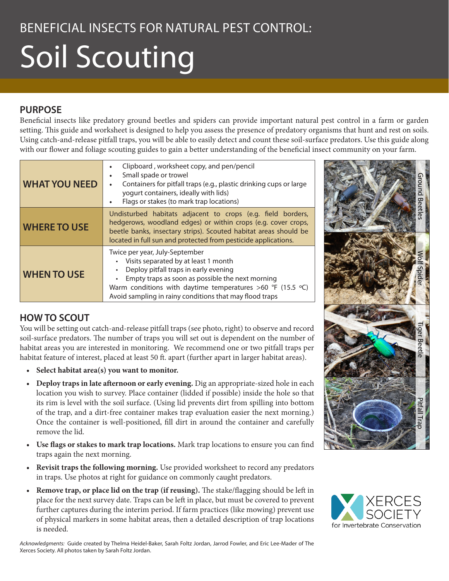# BENEFICIAL INSECTS FOR NATURAL PEST CONTROL: Soil Scouting

### **PURPOSE**

Beneficial insects like predatory ground beetles and spiders can provide important natural pest control in a farm or garden setting. This guide and worksheet is designed to help you assess the presence of predatory organisms that hunt and rest on soils. Using catch-and-release pitfall traps, you will be able to easily detect and count these soil-surface predators. Use this guide along with our flower and foliage scouting guides to gain a better understanding of the beneficial insect community on your farm.

| <b>WHAT YOU NEED</b> | Clipboard, worksheet copy, and pen/pencil<br>٠<br>Small spade or trowel<br>$\bullet$<br>Containers for pitfall traps (e.g., plastic drinking cups or large<br>$\bullet$<br>yogurt containers, ideally with lids)<br>Flags or stakes (to mark trap locations)<br>$\bullet$                      |  |  |  |  |
|----------------------|------------------------------------------------------------------------------------------------------------------------------------------------------------------------------------------------------------------------------------------------------------------------------------------------|--|--|--|--|
| <b>WHERE TO USE</b>  | Undisturbed habitats adjacent to crops (e.g. field borders,<br>hedgerows, woodland edges) or within crops (e.g. cover crops,<br>beetle banks, insectary strips). Scouted habitat areas should be<br>located in full sun and protected from pesticide applications.                             |  |  |  |  |
| <b>WHEN TO USE</b>   | Twice per year, July-September<br>• Visits separated by at least 1 month<br>Deploy pitfall traps in early evening<br>Empty traps as soon as possible the next morning<br>Warm conditions with daytime temperatures >60 °F (15.5 °C)<br>Avoid sampling in rainy conditions that may flood traps |  |  |  |  |

#### **HOW TO SCOUT**

You will be setting out catch-and-release pitfall traps (see photo, right) to observe and record soil-surface predators. The number of traps you will set out is dependent on the number of habitat areas you are interested in monitoring. We recommend one or two pitfall traps per habitat feature of interest, placed at least 50 ft. apart (further apart in larger habitat areas).

- **• Select habitat area(s) you want to monitor.**
- **• Deploy traps in late afternoon or early evening.** Dig an appropriate-sized hole in each location you wish to survey. Place container (lidded if possible) inside the hole so that its rim is level with the soil surface. (Using lid prevents dirt from spilling into bottom of the trap, and a dirt-free container makes trap evaluation easier the next morning.) Once the container is well-positioned, fill dirt in around the container and carefully remove the lid.
- **• Use flags or stakes to mark trap locations.** Mark trap locations to ensure you can find traps again the next morning.
- **• Revisit traps the following morning.** Use provided worksheet to record any predators in traps. Use photos at right for guidance on commonly caught predators.
- **• Remove trap, or place lid on the trap (if reusing).** The stake/flagging should be left in place for the next survey date. Traps can be left in place, but must be covered to prevent further captures during the interim period. If farm practices (like mowing) prevent use of physical markers in some habitat areas, then a detailed description of trap locations is needed.

*Acknowledgments:* Guide created by Thelma Heidel-Baker, Sarah Foltz Jordan, Jarrod Fowler, and Eric Lee-Mader of The Xerces Society. All photos taken by Sarah Foltz Jordan.